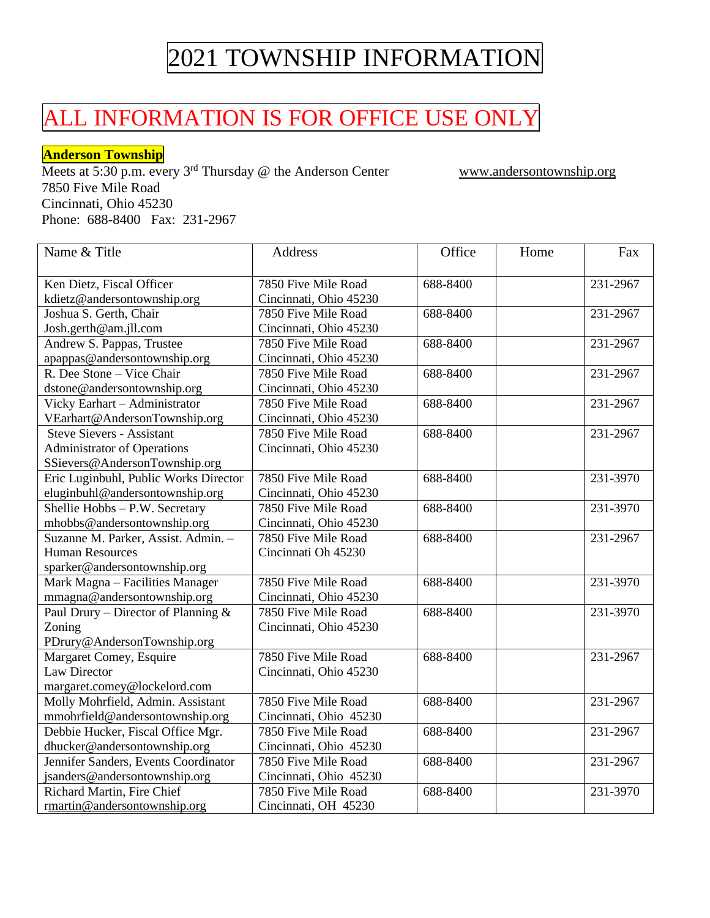### ALL INFORMATION IS FOR OFFICE USE ONLY

#### **Anderson Township**

Meets at 5:30 p.m. every 3<sup>rd</sup> Thursday @ the Anderson Center www.andersontownship.org 7850 Five Mile Road Cincinnati, Ohio 45230 Phone: 688-8400 Fax: 231-2967

| Name & Title                           | Address                | Office   | Home | Fax      |
|----------------------------------------|------------------------|----------|------|----------|
| Ken Dietz, Fiscal Officer              | 7850 Five Mile Road    | 688-8400 |      | 231-2967 |
| kdietz@andersontownship.org            | Cincinnati, Ohio 45230 |          |      |          |
| Joshua S. Gerth, Chair                 | 7850 Five Mile Road    | 688-8400 |      | 231-2967 |
| Josh.gerth@am.jll.com                  | Cincinnati, Ohio 45230 |          |      |          |
| Andrew S. Pappas, Trustee              | 7850 Five Mile Road    | 688-8400 |      | 231-2967 |
| apappas@andersontownship.org           | Cincinnati, Ohio 45230 |          |      |          |
| R. Dee Stone - Vice Chair              | 7850 Five Mile Road    | 688-8400 |      | 231-2967 |
| dstone@andersontownship.org            | Cincinnati, Ohio 45230 |          |      |          |
| Vicky Earhart - Administrator          | 7850 Five Mile Road    | 688-8400 |      | 231-2967 |
| VEarhart@AndersonTownship.org          | Cincinnati, Ohio 45230 |          |      |          |
| <b>Steve Sievers - Assistant</b>       | 7850 Five Mile Road    | 688-8400 |      | 231-2967 |
| <b>Administrator of Operations</b>     | Cincinnati, Ohio 45230 |          |      |          |
| SSievers@AndersonTownship.org          |                        |          |      |          |
| Eric Luginbuhl, Public Works Director  | 7850 Five Mile Road    | 688-8400 |      | 231-3970 |
| eluginbuhl@andersontownship.org        | Cincinnati, Ohio 45230 |          |      |          |
| Shellie Hobbs - P.W. Secretary         | 7850 Five Mile Road    | 688-8400 |      | 231-3970 |
| mhobbs@andersontownship.org            | Cincinnati, Ohio 45230 |          |      |          |
| Suzanne M. Parker, Assist. Admin. -    | 7850 Five Mile Road    | 688-8400 |      | 231-2967 |
| <b>Human Resources</b>                 | Cincinnati Oh 45230    |          |      |          |
| sparker@andersontownship.org           |                        |          |      |          |
| Mark Magna - Facilities Manager        | 7850 Five Mile Road    | 688-8400 |      | 231-3970 |
| mmagna@andersontownship.org            | Cincinnati, Ohio 45230 |          |      |          |
| Paul Drury – Director of Planning $\&$ | 7850 Five Mile Road    | 688-8400 |      | 231-3970 |
| Zoning                                 | Cincinnati, Ohio 45230 |          |      |          |
| PDrury@AndersonTownship.org            |                        |          |      |          |
| Margaret Comey, Esquire                | 7850 Five Mile Road    | 688-8400 |      | 231-2967 |
| <b>Law Director</b>                    | Cincinnati, Ohio 45230 |          |      |          |
| margaret.comey@lockelord.com           |                        |          |      |          |
| Molly Mohrfield, Admin. Assistant      | 7850 Five Mile Road    | 688-8400 |      | 231-2967 |
| mmohrfield@andersontownship.org        | Cincinnati, Ohio 45230 |          |      |          |
| Debbie Hucker, Fiscal Office Mgr.      | 7850 Five Mile Road    | 688-8400 |      | 231-2967 |
| dhucker@andersontownship.org           | Cincinnati, Ohio 45230 |          |      |          |
| Jennifer Sanders, Events Coordinator   | 7850 Five Mile Road    | 688-8400 |      | 231-2967 |
| jsanders@andersontownship.org          | Cincinnati, Ohio 45230 |          |      |          |
| Richard Martin, Fire Chief             | 7850 Five Mile Road    | 688-8400 |      | 231-3970 |
| rmartin@andersontownship.org           | Cincinnati, OH 45230   |          |      |          |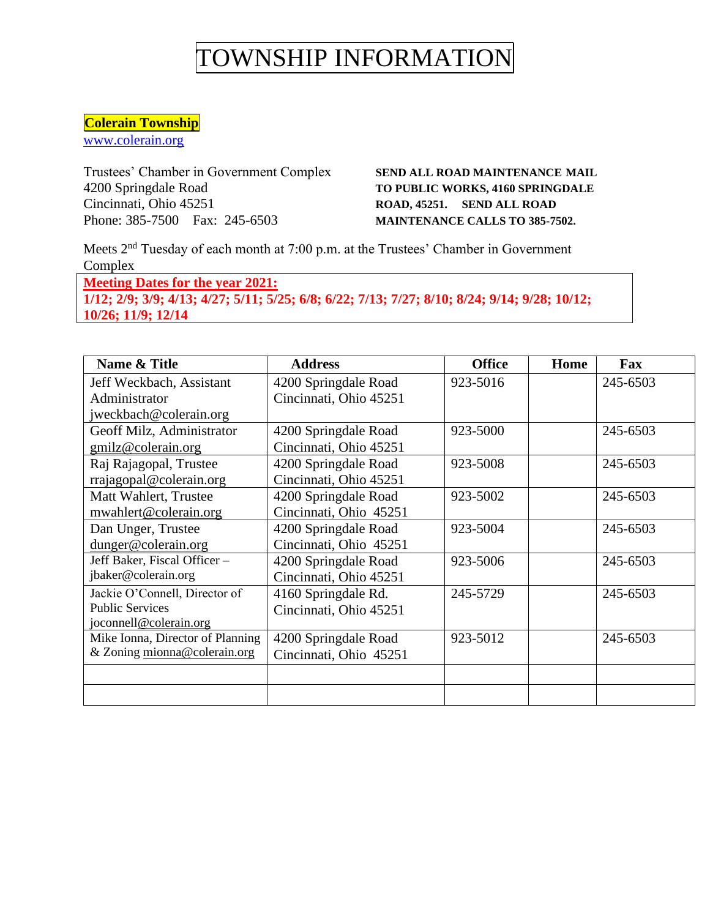#### **Colerain Township**

[www.colerain.org](http://www.colerain.org/)

Trustees' Chamber in Government Complex **SEND ALL ROAD MAINTENANCE MAIL** 4200 Springdale Road **TO PUBLIC WORKS, 4160 SPRINGDALE** Cincinnati, Ohio 45251 **ROAD, 45251. ROAD, 45251. SEND ALL ROAD** Phone: 385-7500 Fax: 245-6503 **MAINTENANCE CALLS TO 385-7502.**

Meets 2nd Tuesday of each month at 7:00 p.m. at the Trustees' Chamber in Government Complex

**Meeting Dates for the year 2021: 1/12; 2/9; 3/9; 4/13; 4/27; 5/11; 5/25; 6/8; 6/22; 7/13; 7/27; 8/10; 8/24; 9/14; 9/28; 10/12; 10/26; 11/9; 12/14**

| Name & Title                     | <b>Address</b>         | <b>Office</b> | Home | Fax      |
|----------------------------------|------------------------|---------------|------|----------|
| Jeff Weckbach, Assistant         | 4200 Springdale Road   | 923-5016      |      | 245-6503 |
| Administrator                    | Cincinnati, Ohio 45251 |               |      |          |
| jweckbach@colerain.org           |                        |               |      |          |
| Geoff Milz, Administrator        | 4200 Springdale Road   | 923-5000      |      | 245-6503 |
| gmilz@colerain.org               | Cincinnati, Ohio 45251 |               |      |          |
| Raj Rajagopal, Trustee           | 4200 Springdale Road   | 923-5008      |      | 245-6503 |
| rrajagopal@colerain.org          | Cincinnati, Ohio 45251 |               |      |          |
| Matt Wahlert, Trustee            | 4200 Springdale Road   | 923-5002      |      | 245-6503 |
| mwahlert@colerain.org            | Cincinnati, Ohio 45251 |               |      |          |
| Dan Unger, Trustee               | 4200 Springdale Road   | 923-5004      |      | 245-6503 |
| dunger@colerain.org              | Cincinnati, Ohio 45251 |               |      |          |
| Jeff Baker, Fiscal Officer -     | 4200 Springdale Road   | 923-5006      |      | 245-6503 |
| jbaker@colerain.org              | Cincinnati, Ohio 45251 |               |      |          |
| Jackie O'Connell, Director of    | 4160 Springdale Rd.    | 245-5729      |      | 245-6503 |
| <b>Public Services</b>           | Cincinnati, Ohio 45251 |               |      |          |
| joconnell@colerain.org           |                        |               |      |          |
| Mike Ionna, Director of Planning | 4200 Springdale Road   | 923-5012      |      | 245-6503 |
| & Zoning mionna@colerain.org     | Cincinnati, Ohio 45251 |               |      |          |
|                                  |                        |               |      |          |
|                                  |                        |               |      |          |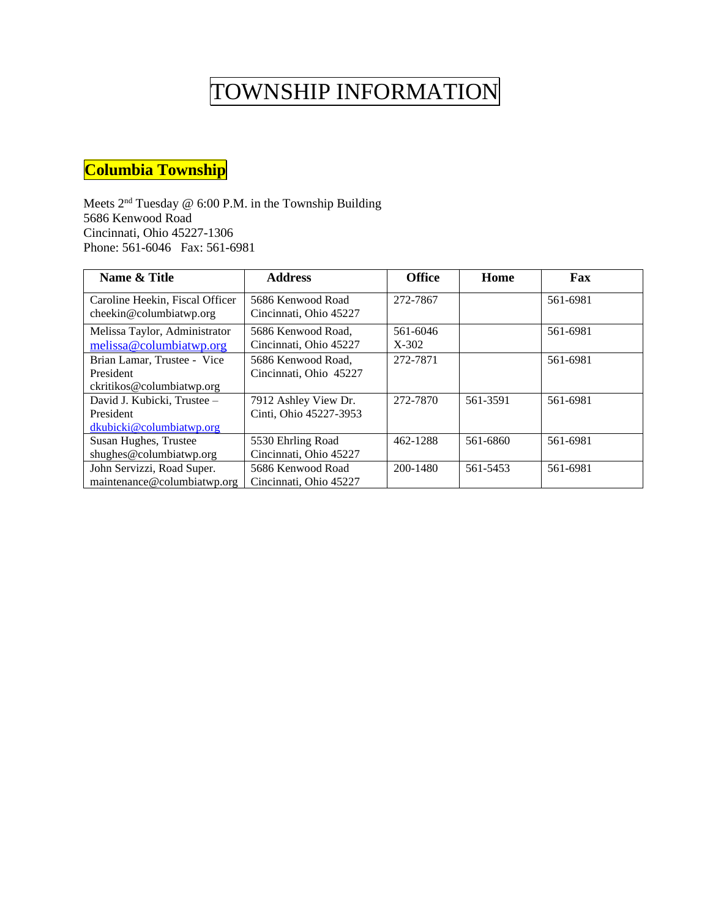### **Columbia Township**

Meets 2<sup>nd</sup> Tuesday @ 6:00 P.M. in the Township Building 5686 Kenwood Road Cincinnati, Ohio 45227-1306 Phone: 561-6046 Fax: 561-6981

| Name & Title                    | <b>Address</b>         | <b>Office</b> | Home     | Fax      |
|---------------------------------|------------------------|---------------|----------|----------|
| Caroline Heekin, Fiscal Officer | 5686 Kenwood Road      | 272-7867      |          | 561-6981 |
| cheekin@columbiatwp.org         | Cincinnati, Ohio 45227 |               |          |          |
| Melissa Taylor, Administrator   | 5686 Kenwood Road.     | 561-6046      |          | 561-6981 |
| melissa@columbiatwp.org         | Cincinnati, Ohio 45227 | $X-302$       |          |          |
| Brian Lamar, Trustee - Vice     | 5686 Kenwood Road.     | 272-7871      |          | 561-6981 |
| President                       | Cincinnati, Ohio 45227 |               |          |          |
| ckritikos@columbiatwp.org       |                        |               |          |          |
| David J. Kubicki, Trustee -     | 7912 Ashley View Dr.   | 272-7870      | 561-3591 | 561-6981 |
| President                       | Cinti, Ohio 45227-3953 |               |          |          |
| dkubicki@columbiatwp.org        |                        |               |          |          |
| Susan Hughes, Trustee           | 5530 Ehrling Road      | 462-1288      | 561-6860 | 561-6981 |
| shughes@columbiatwp.org         | Cincinnati, Ohio 45227 |               |          |          |
| John Servizzi, Road Super.      | 5686 Kenwood Road      | 200-1480      | 561-5453 | 561-6981 |
| maintenance@columbiatwp.org     | Cincinnati, Ohio 45227 |               |          |          |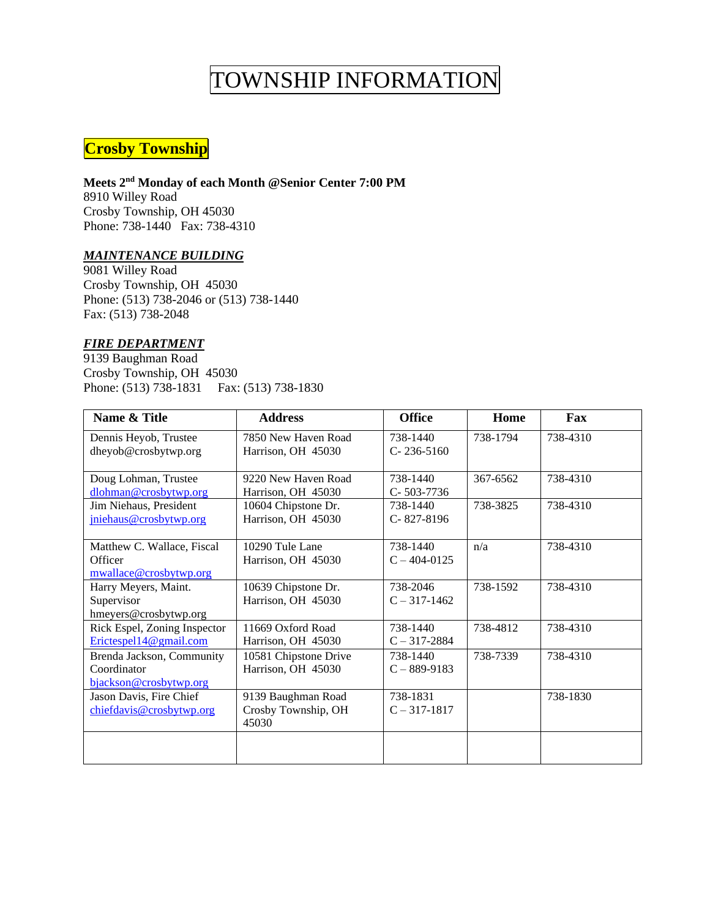### **Crosby Township**

#### **Meets 2nd Monday of each Month @Senior Center 7:00 PM**

8910 Willey Road Crosby Township, OH 45030 Phone: 738-1440 Fax: 738-4310

#### *MAINTENANCE BUILDING*

9081 Willey Road Crosby Township, OH 45030 Phone: (513) 738-2046 or (513) 738-1440 Fax: (513) 738-2048

#### *FIRE DEPARTMENT*

9139 Baughman Road Crosby Township, OH 45030 Phone: (513) 738-1831 Fax: (513) 738-1830

| Name & Title                 | <b>Address</b>        | <b>Office</b>    | Home     | Fax      |
|------------------------------|-----------------------|------------------|----------|----------|
| Dennis Heyob, Trustee        | 7850 New Haven Road   | 738-1440         | 738-1794 | 738-4310 |
| dheyob@crosbytwp.org         | Harrison, OH 45030    | $C-236-5160$     |          |          |
|                              |                       |                  |          |          |
| Doug Lohman, Trustee         | 9220 New Haven Road   | 738-1440         | 367-6562 | 738-4310 |
| dlohman@crosbytwp.org        | Harrison, OH 45030    | C-503-7736       |          |          |
| Jim Niehaus, President       | 10604 Chipstone Dr.   | 738-1440         | 738-3825 | 738-4310 |
| jniehaus@crosbytwp.org       | Harrison, OH 45030    | C-827-8196       |          |          |
|                              |                       |                  |          |          |
| Matthew C. Wallace, Fiscal   | 10290 Tule Lane       | 738-1440         | n/a      | 738-4310 |
| Officer                      | Harrison, OH 45030    | $C - 404 - 0125$ |          |          |
| mwallace@crosbytwp.org       |                       |                  |          |          |
| Harry Meyers, Maint.         | 10639 Chipstone Dr.   | 738-2046         | 738-1592 | 738-4310 |
| Supervisor                   | Harrison, OH 45030    | $C - 317 - 1462$ |          |          |
| hmeyers@crosbytwp.org        |                       |                  |          |          |
| Rick Espel, Zoning Inspector | 11669 Oxford Road     | 738-1440         | 738-4812 | 738-4310 |
| Erictespel14@gmail.com       | Harrison, OH 45030    | $C - 317 - 2884$ |          |          |
| Brenda Jackson, Community    | 10581 Chipstone Drive | 738-1440         | 738-7339 | 738-4310 |
| Coordinator                  | Harrison, OH 45030    | $C - 889 - 9183$ |          |          |
| bjackson@crosbytwp.org       |                       |                  |          |          |
| Jason Davis, Fire Chief      | 9139 Baughman Road    | 738-1831         |          | 738-1830 |
| chiefdavis@crosbytwp.org     | Crosby Township, OH   | $C - 317 - 1817$ |          |          |
|                              | 45030                 |                  |          |          |
|                              |                       |                  |          |          |
|                              |                       |                  |          |          |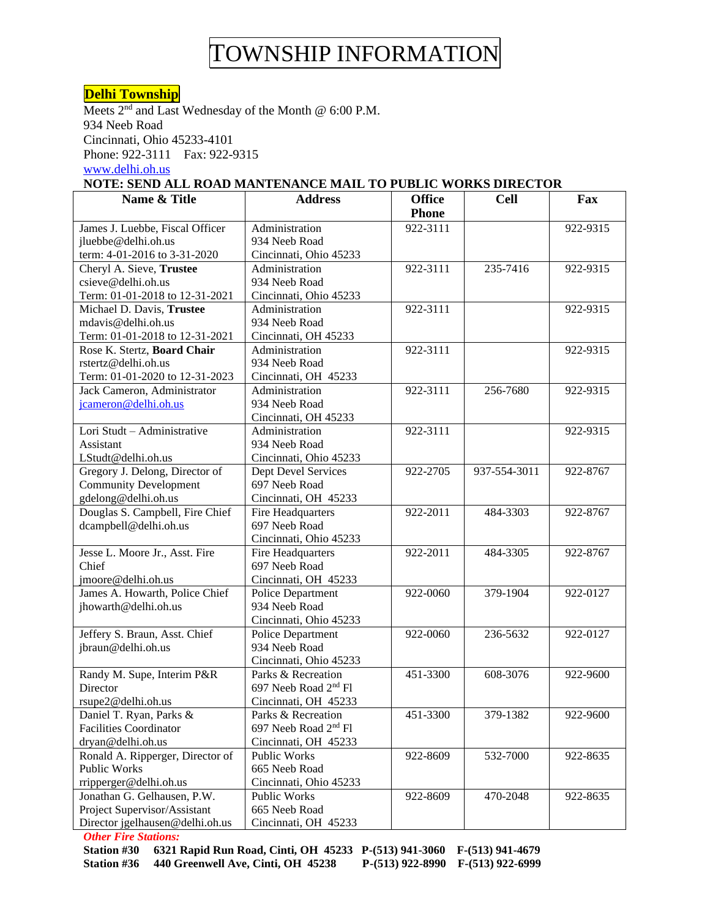#### **Delhi Township**

Meets  $2<sup>nd</sup>$  and Last Wednesday of the Month @ 6:00 P.M. 934 Neeb Road Cincinnati, Ohio 45233-4101 Phone: 922-3111 Fax: 922-9315 [www.delhi.oh.us](http://www.delhi.oh.us/)

#### **NOTE: SEND ALL ROAD MANTENANCE MAIL TO PUBLIC WORKS DIRECTOR**

| Name & Title                     | <b>Address</b>                   | <b>Office</b> | <b>Cell</b>  | Fax      |
|----------------------------------|----------------------------------|---------------|--------------|----------|
|                                  |                                  | <b>Phone</b>  |              |          |
| James J. Luebbe, Fiscal Officer  | Administration                   | 922-3111      |              | 922-9315 |
| jluebbe@delhi.oh.us              | 934 Neeb Road                    |               |              |          |
| term: 4-01-2016 to 3-31-2020     | Cincinnati, Ohio 45233           |               |              |          |
| Cheryl A. Sieve, Trustee         | Administration                   | 922-3111      | 235-7416     | 922-9315 |
| csieve@delhi.oh.us               | 934 Neeb Road                    |               |              |          |
| Term: 01-01-2018 to 12-31-2021   | Cincinnati, Ohio 45233           |               |              |          |
| Michael D. Davis, Trustee        | Administration                   | 922-3111      |              | 922-9315 |
| mdavis@delhi.oh.us               | 934 Neeb Road                    |               |              |          |
| Term: 01-01-2018 to 12-31-2021   | Cincinnati, OH 45233             |               |              |          |
| Rose K. Stertz, Board Chair      | Administration                   | 922-3111      |              | 922-9315 |
| rstertz@delhi.oh.us              | 934 Neeb Road                    |               |              |          |
| Term: 01-01-2020 to 12-31-2023   | Cincinnati, OH 45233             |               |              |          |
| Jack Cameron, Administrator      | Administration                   | 922-3111      | 256-7680     | 922-9315 |
| jcameron@delhi.oh.us             | 934 Neeb Road                    |               |              |          |
|                                  | Cincinnati, OH 45233             |               |              |          |
| Lori Studt - Administrative      | Administration                   | 922-3111      |              | 922-9315 |
| Assistant                        | 934 Neeb Road                    |               |              |          |
| LStudt@delhi.oh.us               | Cincinnati, Ohio 45233           |               |              |          |
| Gregory J. Delong, Director of   | Dept Devel Services              | 922-2705      | 937-554-3011 | 922-8767 |
| <b>Community Development</b>     | 697 Neeb Road                    |               |              |          |
| gdelong@delhi.oh.us              | Cincinnati, OH 45233             |               |              |          |
| Douglas S. Campbell, Fire Chief  | Fire Headquarters                | 922-2011      | 484-3303     | 922-8767 |
| dcampbell@delhi.oh.us            | 697 Neeb Road                    |               |              |          |
|                                  | Cincinnati, Ohio 45233           |               |              |          |
| Jesse L. Moore Jr., Asst. Fire   | Fire Headquarters                | 922-2011      | 484-3305     | 922-8767 |
| Chief                            | 697 Neeb Road                    |               |              |          |
| jmoore@delhi.oh.us               | Cincinnati, OH 45233             |               |              |          |
| James A. Howarth, Police Chief   | Police Department                | 922-0060      | 379-1904     | 922-0127 |
| jhowarth@delhi.oh.us             | 934 Neeb Road                    |               |              |          |
|                                  | Cincinnati, Ohio 45233           |               |              |          |
| Jeffery S. Braun, Asst. Chief    | Police Department                | 922-0060      | 236-5632     | 922-0127 |
| jbraun@delhi.oh.us               | 934 Neeb Road                    |               |              |          |
|                                  | Cincinnati, Ohio 45233           |               |              |          |
| Randy M. Supe, Interim P&R       | Parks & Recreation               | 451-3300      | 608-3076     | 922-9600 |
| Director                         | 697 Neeb Road 2 <sup>nd</sup> Fl |               |              |          |
| rsupe2@delhi.oh.us               | Cincinnati, OH 45233             |               |              |          |
| Daniel T. Ryan, Parks &          | Parks & Recreation               | 451-3300      | 379-1382     | 922-9600 |
| <b>Facilities Coordinator</b>    | 697 Neeb Road 2 <sup>nd</sup> Fl |               |              |          |
| dryan@delhi.oh.us                | Cincinnati, OH 45233             |               |              |          |
| Ronald A. Ripperger, Director of | Public Works                     | 922-8609      | 532-7000     | 922-8635 |
| Public Works                     | 665 Neeb Road                    |               |              |          |
| rripperger@delhi.oh.us           | Cincinnati, Ohio 45233           |               |              |          |
| Jonathan G. Gelhausen, P.W.      | Public Works                     | 922-8609      | 470-2048     | 922-8635 |
| Project Supervisor/Assistant     | 665 Neeb Road                    |               |              |          |
| Director jgelhausen@delhi.oh.us  | Cincinnati, OH 45233             |               |              |          |

*Other Fire Stations:*

**Station #30 6321 Rapid Run Road, Cinti, OH 45233 P-(513) 941-3060 F-(513) 941-4679 Station #36 440 Greenwell Ave, Cinti, OH 45238 P-(513) 922-8990 F-(513) 922-6999**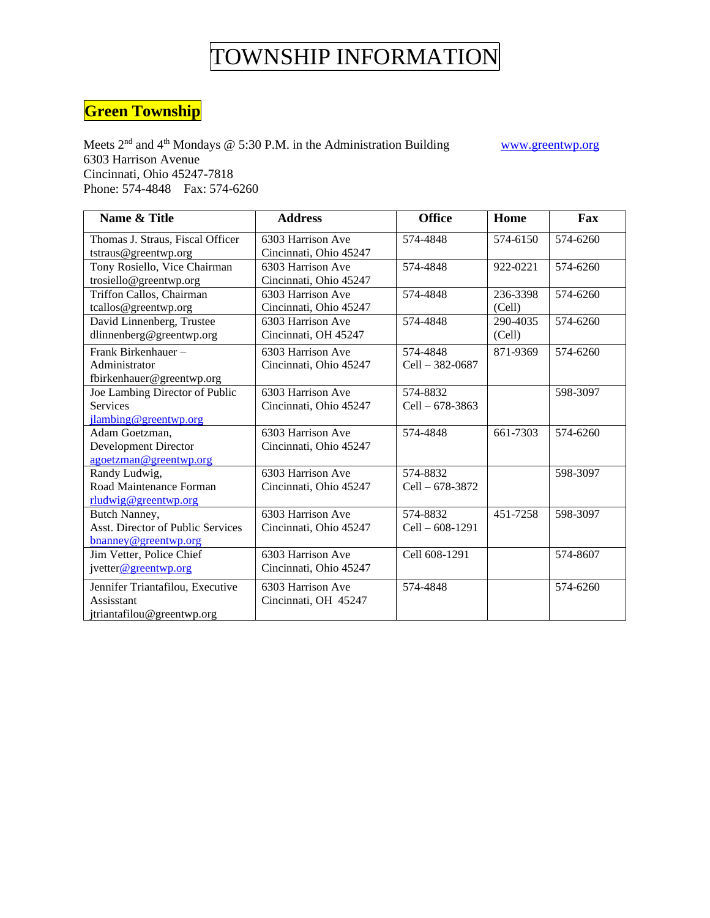### **Green Township**

Meets  $2<sup>nd</sup>$  and  $4<sup>th</sup>$  Mondays @ 5:30 P.M. in the Administration Building www.greentwp.org 6303 Harrison Avenue Cincinnati, Ohio 45247-7818 Phone: 574-4848 Fax: 574-6260

**Name & Title Address Defice Home Fax** Thomas J. Straus, Fiscal Officer tstraus@greentwp.org 6303 Harrison Ave Cincinnati, Ohio 45247 574-4848 574-6150 574-6260 Tony Rosiello, Vice Chairman trosiello@greentwp.org 6303 Harrison Ave Cincinnati, Ohio 45247 574-4848 922-0221 574-6260 Triffon Callos, Chairman tcallos@greentwp.org 6303 Harrison Ave Cincinnati, Ohio 45247 574-4848 236-3398 (Cell) 574-6260 David Linnenberg, Trustee dlinnenberg@greentwp.org 6303 Harrison Ave Cincinnati, OH 45247 574-4848 290-4035 (Cell) 574-6260 Frank Birkenhauer – Administrator fbirkenhauer@greentwp.org 6303 Harrison Ave Cincinnati, Ohio 45247 574-4848 Cell – 382-0687 871-9369 574-6260 Joe Lambing Director of Public Services [jlambing@greentwp.org](mailto:jlambing@greentwp.org) 6303 Harrison Ave Cincinnati, Ohio 45247 574-8832 Cell – 678-3863 598-3097 Adam Goetzman, Development Director [agoetzman@greentwp.org](mailto:agoetzman@greentwp.org) 6303 Harrison Ave Cincinnati, Ohio 45247 574-4848 661-7303 574-6260 Randy Ludwig, Road Maintenance Forman [rludwig@greentwp.org](mailto:rludwig@greentwp.org) 6303 Harrison Ave Cincinnati, Ohio 45247 574-8832 Cell – 678-3872 598-3097 Butch Nanney, Asst. Director of Public Services [bnanney@greentwp.org](mailto:bnanney@greentwp.org) 6303 Harrison Ave Cincinnati, Ohio 45247 574-8832 Cell – 608-1291 451-7258 598-3097 Jim Vetter, Police Chief jvette[r@greentwp.org](mailto:bwest@greentwp.org) 6303 Harrison Ave Cincinnati, Ohio 45247 Cell 608-1291 574-8607 Jennifer Triantafilou, Executive Assisstant jtriantafilou@greentwp.org 6303 Harrison Ave Cincinnati, OH 45247 574-4848 574-6260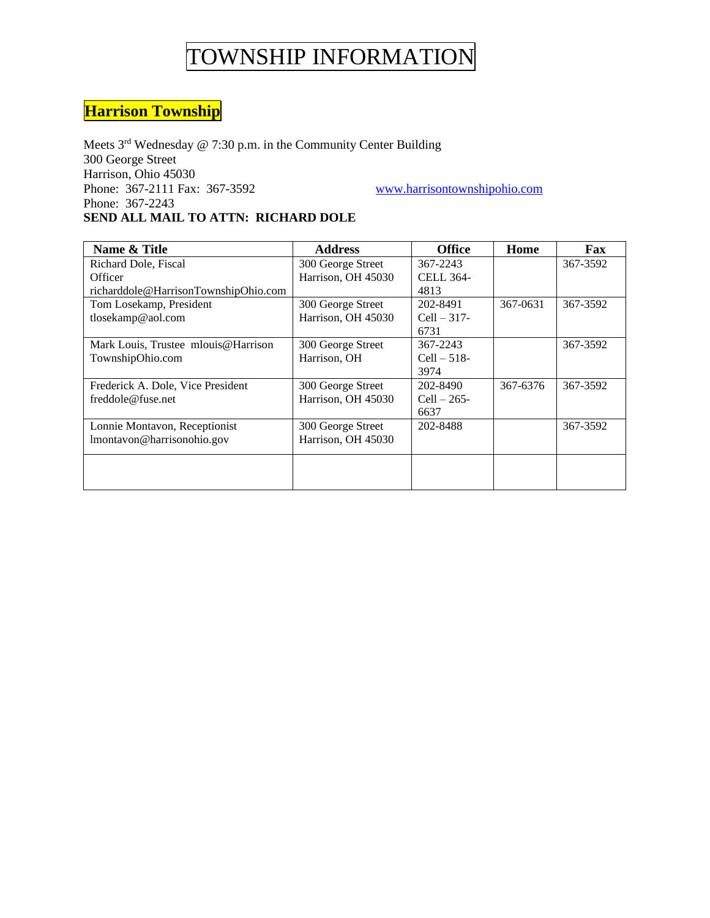### **Harrison Township**

Meets 3<sup>rd</sup> Wednesday @ 7:30 p.m. in the Community Center Building 300 George Street Harrison, Ohio 45030 Phone: 367-2111 Fax: 367-3592 www.harrisontownshipohio.com Phone: 367-2243 **SEND ALL MAIL TO ATTN: RICHARD DOLE**

Name & Title **Address** Address and Address and Address and Address and Address and Address and Address and Address and Taxable Taxa Richard Dole, Fiscal **Officer** richarddole@HarrisonTownshipOhio.com 300 George Street Harrison, OH 45030 367-2243 CELL 364- 4813 367-3592 Tom Losekamp, President tlosekamp@aol.com 300 George Street Harrison, OH 45030 202-8491 Cell – 317- 6731 367-0631 367-3592 Mark Louis, Trustee mlouis@Harrison TownshipOhio.com 300 George Street Harrison, OH 367-2243 Cell – 518- 3974 367-3592 Frederick A. Dole, Vice President freddole@fuse.net 300 George Street Harrison, OH 45030 202-8490  $Cell - 265-$ 6637 367-6376 367-3592 Lonnie Montavon, Receptionist lmontavon@harrisonohio.gov 300 George Street Harrison, OH 45030 202-8488 367-3592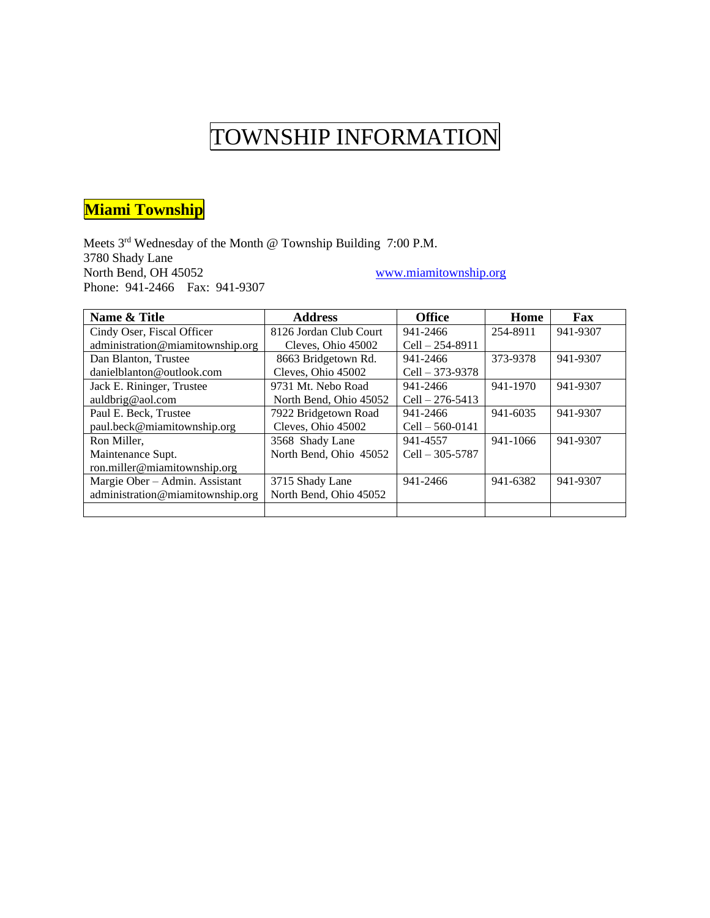### **Miami Township**

Meets 3<sup>rd</sup> Wednesday of the Month @ Township Building 7:00 P.M. 3780 Shady Lane<br>North Bend, OH 45052 www.miamitownship.org Phone: 941-2466 Fax: 941-9307

| Name & Title                     | <b>Address</b>         | <b>Office</b>       | Home     | Fax      |
|----------------------------------|------------------------|---------------------|----------|----------|
| Cindy Oser, Fiscal Officer       | 8126 Jordan Club Court | 941-2466            | 254-8911 | 941-9307 |
| administration@miamitownship.org | Cleves, Ohio 45002     | $Cell - 254 - 8911$ |          |          |
| Dan Blanton, Trustee             | 8663 Bridgetown Rd.    | 941-2466            | 373-9378 | 941-9307 |
| danielblanton@outlook.com        | Cleves, Ohio 45002     | $Cell - 373-9378$   |          |          |
| Jack E. Rininger, Trustee        | 9731 Mt. Nebo Road     | 941-2466            | 941-1970 | 941-9307 |
| auldbrig@aol.com                 | North Bend, Ohio 45052 | $Cell - 276 - 5413$ |          |          |
| Paul E. Beck, Trustee            | 7922 Bridgetown Road   | 941-2466            | 941-6035 | 941-9307 |
| paul.beck@miamitownship.org      | Cleves, Ohio 45002     | $Cell - 560 - 0141$ |          |          |
| Ron Miller,                      | 3568 Shady Lane        | 941-4557            | 941-1066 | 941-9307 |
| Maintenance Supt.                | North Bend, Ohio 45052 | $Cell - 305 - 5787$ |          |          |
| ron.miller@miamitownship.org     |                        |                     |          |          |
| Margie Ober - Admin. Assistant   | 3715 Shady Lane        | 941-2466            | 941-6382 | 941-9307 |
| administration@miamitownship.org | North Bend, Ohio 45052 |                     |          |          |
|                                  |                        |                     |          |          |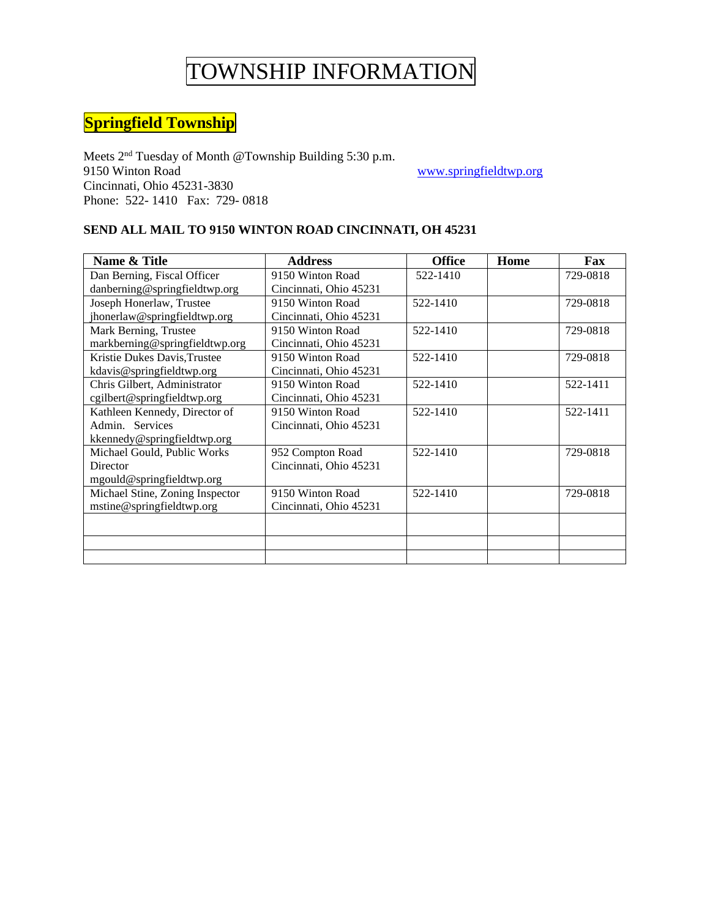### **Springfield Township**

Meets 2nd Tuesday of Month @Township Building 5:30 p.m. 9150 Winton Road www.springfieldtwp.org Cincinnati, Ohio 45231-3830 Phone: 522- 1410 Fax: 729- 0818

#### **SEND ALL MAIL TO 9150 WINTON ROAD CINCINNATI, OH 45231**

| Name & Title                    | <b>Address</b>         | <b>Office</b> | Home | Fax      |
|---------------------------------|------------------------|---------------|------|----------|
| Dan Berning, Fiscal Officer     | 9150 Winton Road       | 522-1410      |      | 729-0818 |
| danberning@springfieldtwp.org   | Cincinnati, Ohio 45231 |               |      |          |
| Joseph Honerlaw, Trustee        | 9150 Winton Road       | 522-1410      |      | 729-0818 |
| jhonerlaw@springfieldtwp.org    | Cincinnati, Ohio 45231 |               |      |          |
| Mark Berning, Trustee           | 9150 Winton Road       | 522-1410      |      | 729-0818 |
| markberning@springfieldtwp.org  | Cincinnati, Ohio 45231 |               |      |          |
| Kristie Dukes Davis, Trustee    | 9150 Winton Road       | 522-1410      |      | 729-0818 |
| kdavis@springfieldtwp.org       | Cincinnati, Ohio 45231 |               |      |          |
| Chris Gilbert, Administrator    | 9150 Winton Road       | 522-1410      |      | 522-1411 |
| cgilbert@springfieldtwp.org     | Cincinnati, Ohio 45231 |               |      |          |
| Kathleen Kennedy, Director of   | 9150 Winton Road       | 522-1410      |      | 522-1411 |
| Admin. Services                 | Cincinnati, Ohio 45231 |               |      |          |
| kkennedy@springfieldtwp.org     |                        |               |      |          |
| Michael Gould, Public Works     | 952 Compton Road       | 522-1410      |      | 729-0818 |
| Director                        | Cincinnati, Ohio 45231 |               |      |          |
| mgould@springfieldtwp.org       |                        |               |      |          |
| Michael Stine, Zoning Inspector | 9150 Winton Road       | 522-1410      |      | 729-0818 |
| mstine@springfieldtwp.org       | Cincinnati, Ohio 45231 |               |      |          |
|                                 |                        |               |      |          |
|                                 |                        |               |      |          |
|                                 |                        |               |      |          |
|                                 |                        |               |      |          |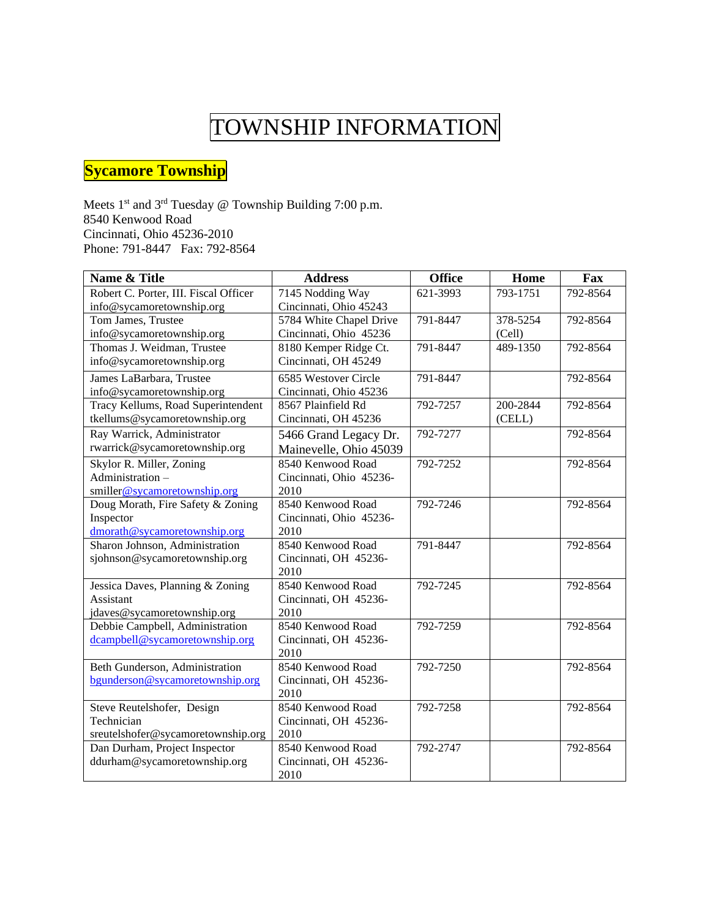### **Sycamore Township**

Meets 1<sup>st</sup> and 3<sup>rd</sup> Tuesday @ Township Building 7:00 p.m. 8540 Kenwood Road Cincinnati, Ohio 45236-2010 Phone: 791-8447 Fax: 792-8564

| Name & Title                          | <b>Address</b>          | <b>Office</b> | Home     | Fax      |
|---------------------------------------|-------------------------|---------------|----------|----------|
| Robert C. Porter, III. Fiscal Officer | 7145 Nodding Way        | 621-3993      | 793-1751 | 792-8564 |
| info@sycamoretownship.org             | Cincinnati, Ohio 45243  |               |          |          |
| Tom James, Trustee                    | 5784 White Chapel Drive | 791-8447      | 378-5254 | 792-8564 |
| info@sycamoretownship.org             | Cincinnati, Ohio 45236  |               | (Cell)   |          |
| Thomas J. Weidman, Trustee            | 8180 Kemper Ridge Ct.   | 791-8447      | 489-1350 | 792-8564 |
| info@sycamoretownship.org             | Cincinnati, OH 45249    |               |          |          |
| James LaBarbara, Trustee              | 6585 Westover Circle    | 791-8447      |          | 792-8564 |
| info@sycamoretownship.org             | Cincinnati, Ohio 45236  |               |          |          |
| Tracy Kellums, Road Superintendent    | 8567 Plainfield Rd      | 792-7257      | 200-2844 | 792-8564 |
| tkellums@sycamoretownship.org         | Cincinnati, OH 45236    |               | (CELL)   |          |
| Ray Warrick, Administrator            | 5466 Grand Legacy Dr.   | 792-7277      |          | 792-8564 |
| rwarrick@sycamoretownship.org         | Mainevelle, Ohio 45039  |               |          |          |
| Skylor R. Miller, Zoning              | 8540 Kenwood Road       | 792-7252      |          | 792-8564 |
| Administration-                       | Cincinnati, Ohio 45236- |               |          |          |
| smiller@sycamoretownship.org          | 2010                    |               |          |          |
| Doug Morath, Fire Safety & Zoning     | 8540 Kenwood Road       | 792-7246      |          | 792-8564 |
| Inspector                             | Cincinnati, Ohio 45236- |               |          |          |
| dmorath@sycamoretownship.org          | 2010                    |               |          |          |
| Sharon Johnson, Administration        | 8540 Kenwood Road       | 791-8447      |          | 792-8564 |
| sjohnson@sycamoretownship.org         | Cincinnati, OH 45236-   |               |          |          |
|                                       | 2010                    |               |          |          |
| Jessica Daves, Planning & Zoning      | 8540 Kenwood Road       | 792-7245      |          | 792-8564 |
| Assistant                             | Cincinnati, OH 45236-   |               |          |          |
| jdaves@sycamoretownship.org           | 2010                    |               |          |          |
| Debbie Campbell, Administration       | 8540 Kenwood Road       | 792-7259      |          | 792-8564 |
| dcampbell@sycamoretownship.org        | Cincinnati, OH 45236-   |               |          |          |
|                                       | 2010                    |               |          |          |
| Beth Gunderson, Administration        | 8540 Kenwood Road       | 792-7250      |          | 792-8564 |
| bgunderson@sycamoretownship.org       | Cincinnati, OH 45236-   |               |          |          |
|                                       | 2010                    |               |          |          |
| Steve Reutelshofer, Design            | 8540 Kenwood Road       | 792-7258      |          | 792-8564 |
| Technician                            | Cincinnati, OH 45236-   |               |          |          |
| sreutelshofer@sycamoretownship.org    | 2010                    |               |          |          |
| Dan Durham, Project Inspector         | 8540 Kenwood Road       | 792-2747      |          | 792-8564 |
| ddurham@sycamoretownship.org          | Cincinnati, OH 45236-   |               |          |          |
|                                       | 2010                    |               |          |          |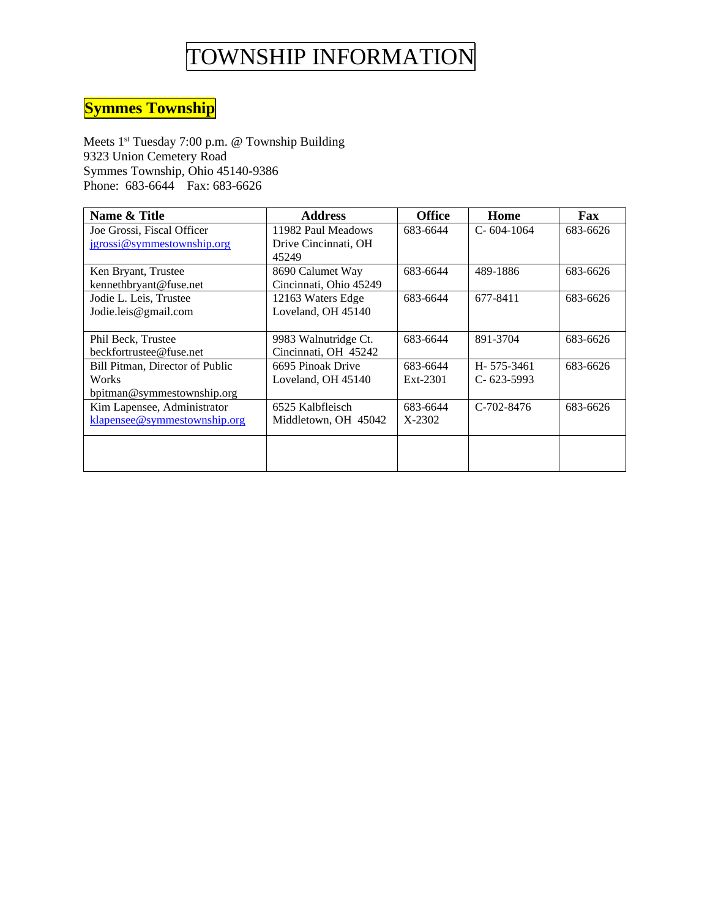### **Symmes Township**

Meets 1<sup>st</sup> Tuesday 7:00 p.m. @ Township Building 9323 Union Cemetery Road Symmes Township, Ohio 45140-9386 Phone: 683-6644 Fax: 683-6626

| Name & Title                    | <b>Address</b>         | <b>Office</b> | Home             | Fax      |
|---------------------------------|------------------------|---------------|------------------|----------|
| Joe Grossi, Fiscal Officer      | 11982 Paul Meadows     | 683-6644      | $C - 604 - 1064$ | 683-6626 |
| jgrossi@symmestownship.org      | Drive Cincinnati, OH   |               |                  |          |
|                                 | 45249                  |               |                  |          |
| Ken Bryant, Trustee             | 8690 Calumet Way       | 683-6644      | 489-1886         | 683-6626 |
| kennethbryant@fuse.net          | Cincinnati, Ohio 45249 |               |                  |          |
| Jodie L. Leis, Trustee          | 12163 Waters Edge      | 683-6644      | 677-8411         | 683-6626 |
| Jodie.leis@gmail.com            | Loveland, OH 45140     |               |                  |          |
|                                 |                        |               |                  |          |
| Phil Beck, Trustee              | 9983 Walnutridge Ct.   | 683-6644      | 891-3704         | 683-6626 |
| beckfortrustee@fuse.net         | Cincinnati, OH 45242   |               |                  |          |
| Bill Pitman, Director of Public | 6695 Pinoak Drive      | 683-6644      | H-575-3461       | 683-6626 |
| Works                           | Loveland, OH 45140     | $Ext-2301$    | $C-623-5993$     |          |
| bpitman@symmestownship.org      |                        |               |                  |          |
| Kim Lapensee, Administrator     | 6525 Kalbfleisch       | 683-6644      | $C-702-8476$     | 683-6626 |
| klapensee@symmestownship.org    | Middletown, OH 45042   | $X-2302$      |                  |          |
|                                 |                        |               |                  |          |
|                                 |                        |               |                  |          |
|                                 |                        |               |                  |          |